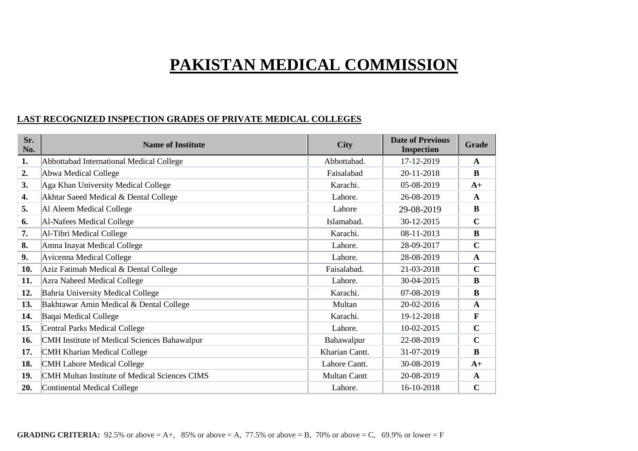# **PAKISTAN MEDICAL COMMISSION**

### **LAST RECOGNIZED INSPECTION GRADES OF PRIVATE MEDICAL COLLEGES**

| Sr.<br>No. | <b>Name of Institute</b>                      | <b>City</b>         | <b>Date of Previous</b><br><b>Inspection</b> | <b>Grade</b> |
|------------|-----------------------------------------------|---------------------|----------------------------------------------|--------------|
| 1.         | Abbottabad International Medical College      | Abbottabad.         | 17-12-2019                                   | $\mathbf A$  |
| 2.         | Abwa Medical College                          | Faisalabad          | 20-11-2018                                   | B            |
| 3.         | Aga Khan University Medical College           | Karachi.            | 05-08-2019                                   | $A+$         |
| 4.         | Akhtar Saeed Medical & Dental College         | Lahore.             | 26-08-2019                                   | $\mathbf A$  |
| 5.         | Al Aleem Medical College                      | Lahore              | 29-08-2019                                   | $\bf{B}$     |
| 6.         | Al-Nafees Medical College                     | Islamabad.          | 30-12-2015                                   | $\mathbf C$  |
| 7.         | Al-Tibri Medical College                      | Karachi.            | 08-11-2013                                   | $\bf{B}$     |
| 8.         | Amna Inayat Medical College                   | Lahore.             | 28-09-2017                                   | $\mathbf C$  |
| 9.         | Avicenna Medical College                      | Lahore.             | 28-08-2019                                   | $\mathbf{A}$ |
| 10.        | Aziz Fatimah Medical & Dental College         | Faisalabad.         | 21-03-2018                                   | $\mathbf C$  |
| 11.        | <b>Azra Naheed Medical College</b>            | Lahore.             | 30-04-2015                                   | B            |
| 12.        | Bahria University Medical College             | Karachi.            | 07-08-2019                                   | $\bf{B}$     |
| 13.        | Bakhtawar Amin Medical & Dental College       | Multan              | 20-02-2016                                   | $\mathbf{A}$ |
| 14.        | Baqai Medical College                         | Karachi.            | 19-12-2018                                   | $\mathbf{F}$ |
| 15.        | Central Parks Medical College                 | Lahore.             | 10-02-2015                                   | $\mathbf C$  |
| 16.        | CMH Institute of Medical Sciences Bahawalpur  | Bahawalpur          | 22-08-2019                                   | $\mathbf C$  |
| 17.        | CMH Kharian Medical College                   | Kharian Cantt.      | 31-07-2019                                   | $\bf{B}$     |
| 18.        | <b>CMH Lahore Medical College</b>             | Lahore Cantt.       | 30-08-2019                                   | $A+$         |
| 19.        | CMH Multan Institute of Medical Sciences CIMS | <b>Multan Cantt</b> | 20-08-2019                                   | $\mathbf{A}$ |
| 20.        | Continental Medical College                   | Lahore.             | 16-10-2018                                   | $\mathbf C$  |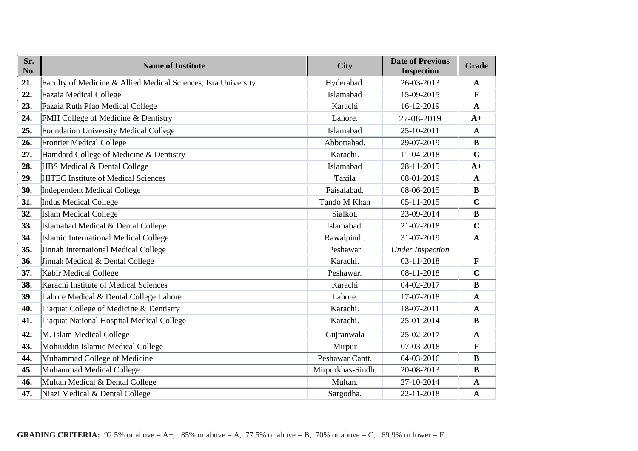| Sr.<br>No. | <b>Name of Institute</b>                                       | <b>City</b>       | <b>Date of Previous</b><br><b>Inspection</b> | Grade        |
|------------|----------------------------------------------------------------|-------------------|----------------------------------------------|--------------|
| 21.        | Faculty of Medicine & Allied Medical Sciences, Isra University | Hyderabad.        | 26-03-2013                                   | $\mathbf A$  |
| 22.        | Fazaia Medical College                                         | Islamabad         | 15-09-2015                                   | F            |
| 23.        | Fazaia Ruth Pfao Medical College                               | Karachi           | 16-12-2019                                   | $\mathbf{A}$ |
| 24.        | FMH College of Medicine & Dentistry                            | Lahore.           | 27-08-2019                                   | $A+$         |
| 25.        | Foundation University Medical College                          | Islamabad         | 25-10-2011                                   | $\mathbf{A}$ |
| 26.        | <b>Frontier Medical College</b>                                | Abbottabad.       | 29-07-2019                                   | $\bf{B}$     |
| 27.        | Hamdard College of Medicine & Dentistry                        | Karachi.          | 11-04-2018                                   | $\mathbf C$  |
| 28.        | HBS Medical & Dental College                                   | Islamabad         | 28-11-2015                                   | $A+$         |
| 29.        | <b>HITEC Institute of Medical Sciences</b>                     | Taxila            | 08-01-2019                                   | $\mathbf{A}$ |
| 30.        | Independent Medical College                                    | Faisalabad.       | 08-06-2015                                   | B            |
| 31.        | Indus Medical College                                          | Tando M Khan      | 05-11-2015                                   | $\mathbf C$  |
| 32.        | <b>Islam Medical College</b>                                   | Sialkot.          | 23-09-2014                                   | $\bf{B}$     |
| 33.        | Islamabad Medical & Dental College                             | Islamabad.        | 21-02-2018                                   | $\mathbf C$  |
| 34.        | Islamic International Medical College                          | Rawalpindi.       | 31-07-2019                                   | $\mathbf{A}$ |
| 35.        | Jinnah International Medical College                           | Peshawar          | <b>Under Inspection</b>                      |              |
| 36.        | Jinnah Medical & Dental College                                | Karachi.          | 03-11-2018                                   | $\mathbf{F}$ |
| 37.        | Kabir Medical College                                          | Peshawar.         | 08-11-2018                                   | $\mathbf C$  |
| 38.        | Karachi Institute of Medical Sciences                          | Karachi           | 04-02-2017                                   | B            |
| 39.        | Lahore Medical & Dental College Lahore                         | Lahore.           | 17-07-2018                                   | $\mathbf A$  |
| 40.        | Liaquat College of Medicine & Dentistry                        | Karachi.          | 18-07-2011                                   | $\mathbf{A}$ |
| 41.        | Liaquat National Hospital Medical College                      | Karachi.          | 25-01-2014                                   | B            |
| 42.        | M. Islam Medical College                                       | Gujranwala        | 25-02-2017                                   | $\mathbf{A}$ |
| 43.        | Mohiuddin Islamic Medical College                              | Mirpur            | 07-03-2018                                   | $\mathbf{F}$ |
| 44.        | Muhammad College of Medicine                                   | Peshawar Cantt.   | 04-03-2016                                   | B            |
| 45.        | Muhammad Medical College                                       | Mirpurkhas-Sindh. | 20-08-2013                                   | $\bf{B}$     |
| 46.        | Multan Medical & Dental College                                | Multan.           | 27-10-2014                                   | $\mathbf{A}$ |
| 47.        | Niazi Medical & Dental College                                 | Sargodha.         | 22-11-2018                                   | $\mathbf{A}$ |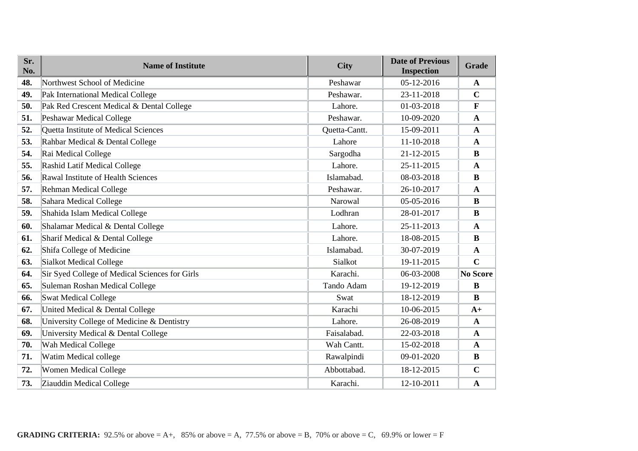| Sr.<br>No. | <b>Name of Institute</b>                       | <b>City</b>   | <b>Date of Previous</b><br><b>Inspection</b> | Grade           |
|------------|------------------------------------------------|---------------|----------------------------------------------|-----------------|
| 48.        | Northwest School of Medicine                   | Peshawar      | 05-12-2016                                   | $\mathbf{A}$    |
| 49.        | Pak International Medical College              | Peshawar.     | 23-11-2018                                   | $\mathbf C$     |
| 50.        | Pak Red Crescent Medical & Dental College      | Lahore.       | 01-03-2018                                   | F               |
| 51.        | Peshawar Medical College                       | Peshawar.     | 10-09-2020                                   | $\mathbf{A}$    |
| 52.        | Quetta Institute of Medical Sciences           | Quetta-Cantt. | 15-09-2011                                   | $\mathbf{A}$    |
| 53.        | Rahbar Medical & Dental College                | Lahore        | 11-10-2018                                   | $\mathbf{A}$    |
| 54.        | Rai Medical College                            | Sargodha      | 21-12-2015                                   | $\bf{B}$        |
| 55.        | Rashid Latif Medical College                   | Lahore.       | 25-11-2015                                   | $\mathbf{A}$    |
| 56.        | Rawal Institute of Health Sciences             | Islamabad.    | 08-03-2018                                   | $\bf{B}$        |
| 57.        | Rehman Medical College                         | Peshawar.     | 26-10-2017                                   | $\mathbf{A}$    |
| 58.        | Sahara Medical College                         | Narowal       | 05-05-2016                                   | $\bf{B}$        |
| 59.        | Shahida Islam Medical College                  | Lodhran       | 28-01-2017                                   | $\bf{B}$        |
| 60.        | Shalamar Medical & Dental College              | Lahore.       | 25-11-2013                                   | $\mathbf{A}$    |
| 61.        | Sharif Medical & Dental College                | Lahore.       | 18-08-2015                                   | $\bf{B}$        |
| 62.        | Shifa College of Medicine                      | Islamabad.    | 30-07-2019                                   | $\mathbf{A}$    |
| 63.        | <b>Sialkot Medical College</b>                 | Sialkot       | 19-11-2015                                   | $\mathbf C$     |
| 64.        | Sir Syed College of Medical Sciences for Girls | Karachi.      | 06-03-2008                                   | <b>No Score</b> |
| 65.        | Suleman Roshan Medical College                 | Tando Adam    | 19-12-2019                                   | $\bf{B}$        |
| 66.        | <b>Swat Medical College</b>                    | Swat          | 18-12-2019                                   | $\bf{B}$        |
| 67.        | United Medical & Dental College                | Karachi       | 10-06-2015                                   | $A+$            |
| 68.        | University College of Medicine & Dentistry     | Lahore.       | 26-08-2019                                   | $\mathbf{A}$    |
| 69.        | University Medical & Dental College            | Faisalabad.   | 22-03-2018                                   | $\mathbf{A}$    |
| 70.        | Wah Medical College                            | Wah Cantt.    | 15-02-2018                                   | $\mathbf{A}$    |
| 71.        | Watim Medical college                          | Rawalpindi    | 09-01-2020                                   | $\bf{B}$        |
| 72.        | <b>Women Medical College</b>                   | Abbottabad.   | 18-12-2015                                   | $\mathbf C$     |
| 73.        | Ziauddin Medical College                       | Karachi.      | 12-10-2011                                   | $\mathbf{A}$    |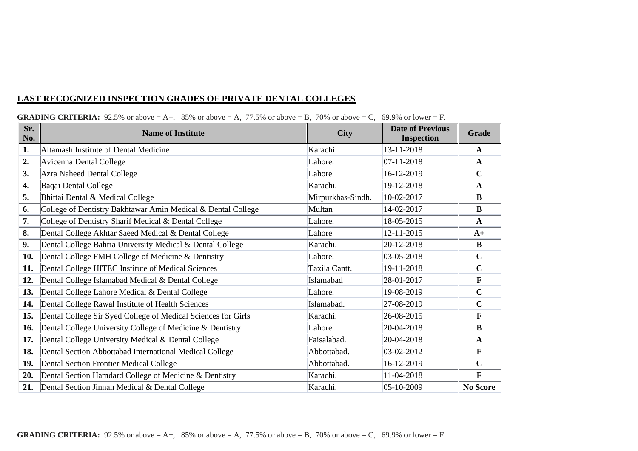#### **LAST RECOGNIZED INSPECTION GRADES OF PRIVATE DENTAL COLLEGES**

| Sr.<br>No. | <b>Name of Institute</b>                                      | <b>City</b>       | <b>Date of Previous</b><br><b>Inspection</b> | Grade           |
|------------|---------------------------------------------------------------|-------------------|----------------------------------------------|-----------------|
| 1.         | Altamash Institute of Dental Medicine                         | Karachi.          | 13-11-2018                                   | A               |
| 2.         | Avicenna Dental College                                       | Lahore.           | $07-11-2018$                                 | $\mathbf{A}$    |
| 3.         | Azra Naheed Dental College                                    | Lahore            | 16-12-2019                                   | $\mathbf C$     |
| 4.         | Baqai Dental College                                          | Karachi.          | 19-12-2018                                   | $\mathbf{A}$    |
| 5.         | Bhittai Dental & Medical College                              | Mirpurkhas-Sindh. | 10-02-2017                                   | B               |
| 6.         | College of Dentistry Bakhtawar Amin Medical & Dental College  | Multan            | 14-02-2017                                   | B               |
| 7.         | College of Dentistry Sharif Medical & Dental College          | Lahore.           | 18-05-2015                                   | $\mathbf{A}$    |
| 8.         | Dental College Akhtar Saeed Medical & Dental College          | Lahore            | 12-11-2015                                   | $A+$            |
| 9.         | Dental College Bahria University Medical & Dental College     | Karachi.          | 20-12-2018                                   | $\bf{B}$        |
| 10.        | Dental College FMH College of Medicine & Dentistry            | Lahore.           | 03-05-2018                                   | $\mathbf C$     |
| 11.        | Dental College HITEC Institute of Medical Sciences            | Taxila Cantt.     | 19-11-2018                                   | $\mathbf C$     |
| 12.        | Dental College Islamabad Medical & Dental College             | Islamabad         | 28-01-2017                                   | $\mathbf{F}$    |
| 13.        | Dental College Lahore Medical & Dental College                | Lahore.           | 19-08-2019                                   | $\mathbf C$     |
| 14.        | Dental College Rawal Institute of Health Sciences             | Islamabad.        | 27-08-2019                                   | $\mathbf C$     |
| 15.        | Dental College Sir Syed College of Medical Sciences for Girls | Karachi.          | 26-08-2015                                   | $\mathbf{F}$    |
| 16.        | Dental College University College of Medicine & Dentistry     | Lahore.           | 20-04-2018                                   | $\bf{B}$        |
| 17.        | Dental College University Medical & Dental College            | Faisalabad.       | 20-04-2018                                   | $\mathbf{A}$    |
| 18.        | Dental Section Abbottabad International Medical College       | Abbottabad.       | $ 03-02-2012 $                               | $\mathbf F$     |
| 19.        | Dental Section Frontier Medical College                       | Abbottabad.       | 16-12-2019                                   | $\mathbf C$     |
| 20.        | Dental Section Hamdard College of Medicine & Dentistry        | Karachi.          | 11-04-2018                                   | $\mathbf{F}$    |
| 21.        | Dental Section Jinnah Medical & Dental College                | Karachi.          | $ 05-10-2009$                                | <b>No Score</b> |

#### **GRADING CRITERIA:** 92.5% or above  $= A$ +, 85% or above  $= A$ , 77.5% or above  $= B$ , 70% or above  $= C$ , 69.9% or lower  $= F$ .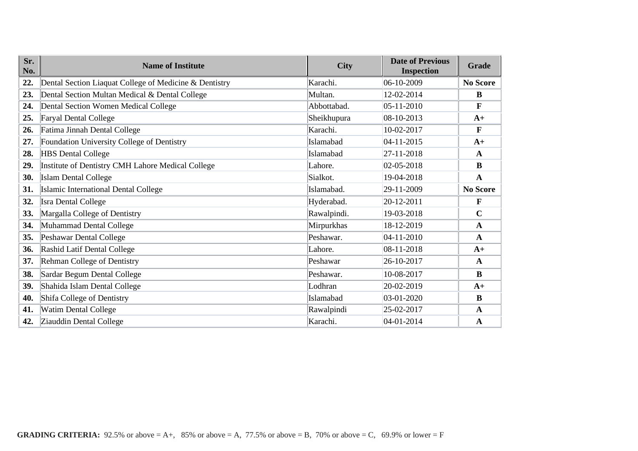| Sr.<br>No. | <b>Name of Institute</b>                               | <b>City</b> | <b>Date of Previous</b><br><b>Inspection</b> | Grade           |
|------------|--------------------------------------------------------|-------------|----------------------------------------------|-----------------|
| 22.        | Dental Section Liaquat College of Medicine & Dentistry | Karachi.    | 06-10-2009                                   | <b>No Score</b> |
| 23.        | Dental Section Multan Medical & Dental College         | Multan.     | 12-02-2014                                   | B               |
| 24.        | Dental Section Women Medical College                   | Abbottabad. | 05-11-2010                                   | $\mathbf F$     |
| 25.        | Faryal Dental College                                  | Sheikhupura | 08-10-2013                                   | $A+$            |
| 26.        | Fatima Jinnah Dental College                           | Karachi.    | 10-02-2017                                   | $\mathbf{F}$    |
| 27.        | Foundation University College of Dentistry             | Islamabad   | 04-11-2015                                   | $A+$            |
| 28.        | <b>HBS</b> Dental College                              | Islamabad   | 27-11-2018                                   | A               |
| 29.        | Institute of Dentistry CMH Lahore Medical College      | Lahore.     | $ 02-05-2018$                                | $\bf{B}$        |
| 30.        | <b>Islam Dental College</b>                            | Sialkot.    | 19-04-2018                                   | $\mathbf{A}$    |
| 31.        | Islamic International Dental College                   | Islamabad.  | 29-11-2009                                   | No Score        |
| 32.        | <b>Isra Dental College</b>                             | Hyderabad.  | 20-12-2011                                   | $\mathbf F$     |
| 33.        | Margalla College of Dentistry                          | Rawalpindi. | 19-03-2018                                   | $\mathbf C$     |
| 34.        | Muhammad Dental College                                | Mirpurkhas  | 18-12-2019                                   | $\mathbf{A}$    |
| 35.        | Peshawar Dental College                                | Peshawar.   | 04-11-2010                                   | $\mathbf{A}$    |
| 36.        | Rashid Latif Dental College                            | Lahore.     | 08-11-2018                                   | $A+$            |
| 37.        | Rehman College of Dentistry                            | Peshawar    | 26-10-2017                                   | $\mathbf{A}$    |
| 38.        | Sardar Begum Dental College                            | Peshawar.   | 10-08-2017                                   | $\bf{B}$        |
| 39.        | Shahida Islam Dental College                           | Lodhran     | 20-02-2019                                   | $A+$            |
| 40.        | Shifa College of Dentistry                             | Islamabad   | $ 03-01-2020 $                               | $\bf{B}$        |
| 41.        | <b>Watim Dental College</b>                            | Rawalpindi  | 25-02-2017                                   | $\mathbf{A}$    |
| 42.        | Ziauddin Dental College                                | Karachi.    | 04-01-2014                                   | $\mathbf{A}$    |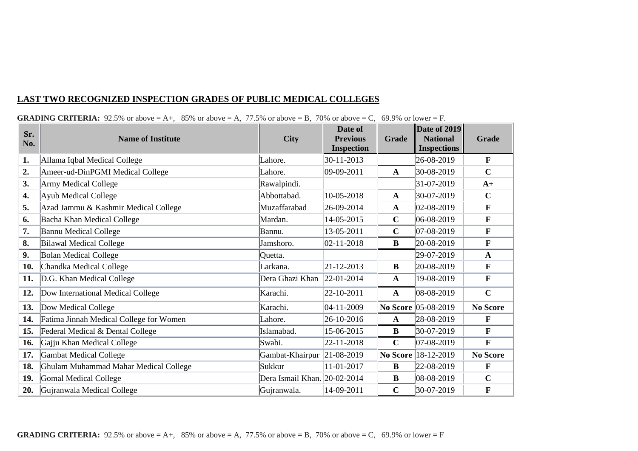## **LAST TWO RECOGNIZED INSPECTION GRADES OF PUBLIC MEDICAL COLLEGES**

| Sr.<br>No. | <b>Name of Institute</b>                | <b>City</b>                  | Date of<br><b>Previous</b><br><b>Inspection</b> | <b>Grade</b> | <b>Date of 2019</b><br><b>National</b><br><b>Inspections</b> | <b>Grade</b>    |
|------------|-----------------------------------------|------------------------------|-------------------------------------------------|--------------|--------------------------------------------------------------|-----------------|
| 1.         | Allama Iqbal Medical College            | Lahore.                      | 30-11-2013                                      |              | 26-08-2019                                                   | $\mathbf{F}$    |
| 2.         | Ameer-ud-DinPGMI Medical College        | Lahore.                      | $ 09-09-2011$                                   | $\mathbf{A}$ | 30-08-2019                                                   | $\mathbf C$     |
| 3.         | <b>Army Medical College</b>             | Rawalpindi.                  |                                                 |              | 31-07-2019                                                   | $A+$            |
| 4.         | <b>Ayub Medical College</b>             | Abbottabad.                  | 10-05-2018                                      | $\mathbf{A}$ | 30-07-2019                                                   | $\mathbf C$     |
| 5.         | Azad Jammu & Kashmir Medical College    | Muzaffarabad                 | 26-09-2014                                      | $\mathbf{A}$ | $ 02-08-2019 $                                               | $\mathbf F$     |
| 6.         | Bacha Khan Medical College              | Mardan.                      | 14-05-2015                                      | $\mathbf C$  | 06-08-2019                                                   | $\mathbf F$     |
| 7.         | <b>Bannu Medical College</b>            | Bannu.                       | 13-05-2011                                      | $\mathbf C$  | 07-08-2019                                                   | $\mathbf F$     |
| 8.         | <b>Bilawal Medical College</b>          | Jamshoro.                    | $ 02 - 11 - 2018 $                              | B            | 20-08-2019                                                   | $\mathbf{F}$    |
| 9.         | <b>Bolan Medical College</b>            | Quetta.                      |                                                 |              | 29-07-2019                                                   | $\mathbf{A}$    |
| 10.        | Chandka Medical College                 | Larkana.                     | $ 21 - 12 - 2013 $                              | B            | 20-08-2019                                                   | $\mathbf{F}$    |
| 11.        | D.G. Khan Medical College               | Dera Ghazi Khan              | 22-01-2014                                      | $\mathbf{A}$ | 19-08-2019                                                   | $\mathbf{F}$    |
| 12.        | Dow International Medical College       | Karachi.                     | 22-10-2011                                      | $\mathbf{A}$ | 08-08-2019                                                   | $\mathbf C$     |
| 13.        | Dow Medical College                     | Karachi.                     | $04-11-2009$                                    |              | No Score 05-08-2019                                          | <b>No Score</b> |
| 14.        | Fatima Jinnah Medical College for Women | Lahore.                      | 26-10-2016                                      | $\mathbf{A}$ | 28-08-2019                                                   | $\mathbf{F}$    |
| 15.        | Federal Medical & Dental College        | Islamabad.                   | 15-06-2015                                      | B            | 30-07-2019                                                   | $\mathbf{F}$    |
| 16.        | Gajju Khan Medical College              | Swabi.                       | 22-11-2018                                      | $\mathbf C$  | $ 07-08-2019 $                                               | $\mathbf F$     |
| 17.        | <b>Gambat Medical College</b>           | Gambat-Khairpur              | $ 21-08-2019 $                                  |              | No Score 18-12-2019                                          | <b>No Score</b> |
| 18.        | Ghulam Muhammad Mahar Medical College   | Sukkur                       | 11-01-2017                                      | B            | 22-08-2019                                                   | $\mathbf{F}$    |
| 19.        | <b>Gomal Medical College</b>            | Dera Ismail Khan. 20-02-2014 |                                                 | $\bf{B}$     | 08-08-2019                                                   | $\mathbf C$     |
| 20.        | Gujranwala Medical College              | Gujranwala.                  | 14-09-2011                                      | $\mathbf C$  | 30-07-2019                                                   | $\mathbf F$     |

#### **GRADING CRITERIA:** 92.5% or above  $= A_+$ , 85% or above  $= A$ , 77.5% or above  $= B$ , 70% or above  $= C$ , 69.9% or lower  $= F$ .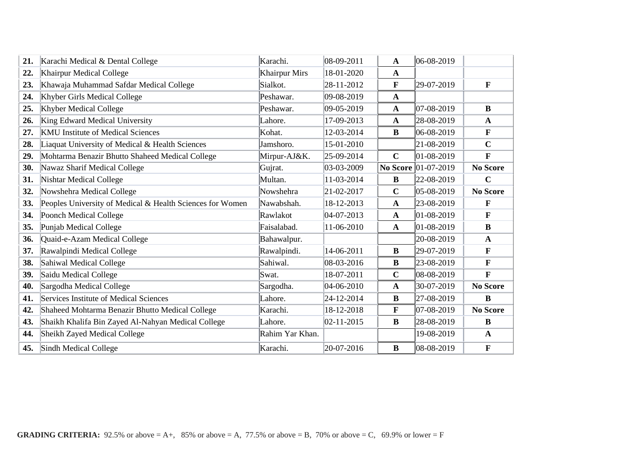| 21. | Karachi Medical & Dental College                          | Karachi.             | 08-09-2011 | $\mathbf A$  | 06-08-2019          |                 |
|-----|-----------------------------------------------------------|----------------------|------------|--------------|---------------------|-----------------|
| 22. | Khairpur Medical College                                  | <b>Khairpur Mirs</b> | 18-01-2020 | $\mathbf{A}$ |                     |                 |
| 23. | Khawaja Muhammad Safdar Medical College                   | Sialkot.             | 28-11-2012 | F            | 29-07-2019          | $\mathbf{F}$    |
| 24. | Khyber Girls Medical College                              | Peshawar.            | 09-08-2019 | $\mathbf{A}$ |                     |                 |
| 25. | <b>Khyber Medical College</b>                             | Peshawar.            | 09-05-2019 | $\mathbf{A}$ | 07-08-2019          | B               |
| 26. | King Edward Medical University                            | Lahore.              | 17-09-2013 | $\mathbf{A}$ | 28-08-2019          | $\mathbf{A}$    |
| 27. | <b>KMU</b> Institute of Medical Sciences                  | Kohat.               | 12-03-2014 | B            | 06-08-2019          | F               |
| 28. | Liaquat University of Medical & Health Sciences           | Jamshoro.            | 15-01-2010 |              | 21-08-2019          | $\mathbf C$     |
| 29. | Mohtarma Benazir Bhutto Shaheed Medical College           | Mirpur-AJ&K.         | 25-09-2014 | $\mathbf C$  | 01-08-2019          | F               |
| 30. | Nawaz Sharif Medical College                              | Gujrat.              | 03-03-2009 |              | No Score 01-07-2019 | <b>No Score</b> |
| 31. | <b>Nishtar Medical College</b>                            | Multan.              | 11-03-2014 | $\bf{B}$     | 22-08-2019          | $\mathbf C$     |
| 32. | Nowshehra Medical College                                 | Nowshehra            | 21-02-2017 | $\mathbf C$  | 05-08-2019          | <b>No Score</b> |
| 33. | Peoples University of Medical & Health Sciences for Women | Nawabshah.           | 18-12-2013 | $\mathbf{A}$ | 23-08-2019          | F               |
| 34. | Poonch Medical College                                    | Rawlakot             | 04-07-2013 | $\mathbf{A}$ | 01-08-2019          | $\mathbf{F}$    |
| 35. | Punjab Medical College                                    | Faisalabad.          | 11-06-2010 | $\mathbf{A}$ | 01-08-2019          | $\bf{B}$        |
| 36. | Quaid-e-Azam Medical College                              | Bahawalpur.          |            |              | 20-08-2019          | $\mathbf{A}$    |
| 37. | Rawalpindi Medical College                                | Rawalpindi.          | 14-06-2011 | $\bf{B}$     | 29-07-2019          | F               |
| 38. | Sahiwal Medical College                                   | Sahiwal.             | 08-03-2016 | $\bf{B}$     | 23-08-2019          | $\mathbf F$     |
| 39. | Saidu Medical College                                     | Swat.                | 18-07-2011 | $\mathbf C$  | 08-08-2019          | $\mathbf{F}$    |
| 40. | Sargodha Medical College                                  | Sargodha.            | 04-06-2010 | $\mathbf{A}$ | 30-07-2019          | <b>No Score</b> |
| 41. | Services Institute of Medical Sciences                    | Lahore.              | 24-12-2014 | $\bf{B}$     | 27-08-2019          | $\bf{B}$        |
| 42. | Shaheed Mohtarma Benazir Bhutto Medical College           | Karachi.             | 18-12-2018 | F            | 07-08-2019          | <b>No Score</b> |
| 43. | Shaikh Khalifa Bin Zayed Al-Nahyan Medical College        | Lahore.              | 02-11-2015 | $\bf{B}$     | 28-08-2019          | $\bf{B}$        |
| 44. | Sheikh Zayed Medical College                              | Rahim Yar Khan.      |            |              | 19-08-2019          | $\mathbf{A}$    |
| 45. | Sindh Medical College                                     | Karachi.             | 20-07-2016 | B            | 08-08-2019          | $\mathbf F$     |